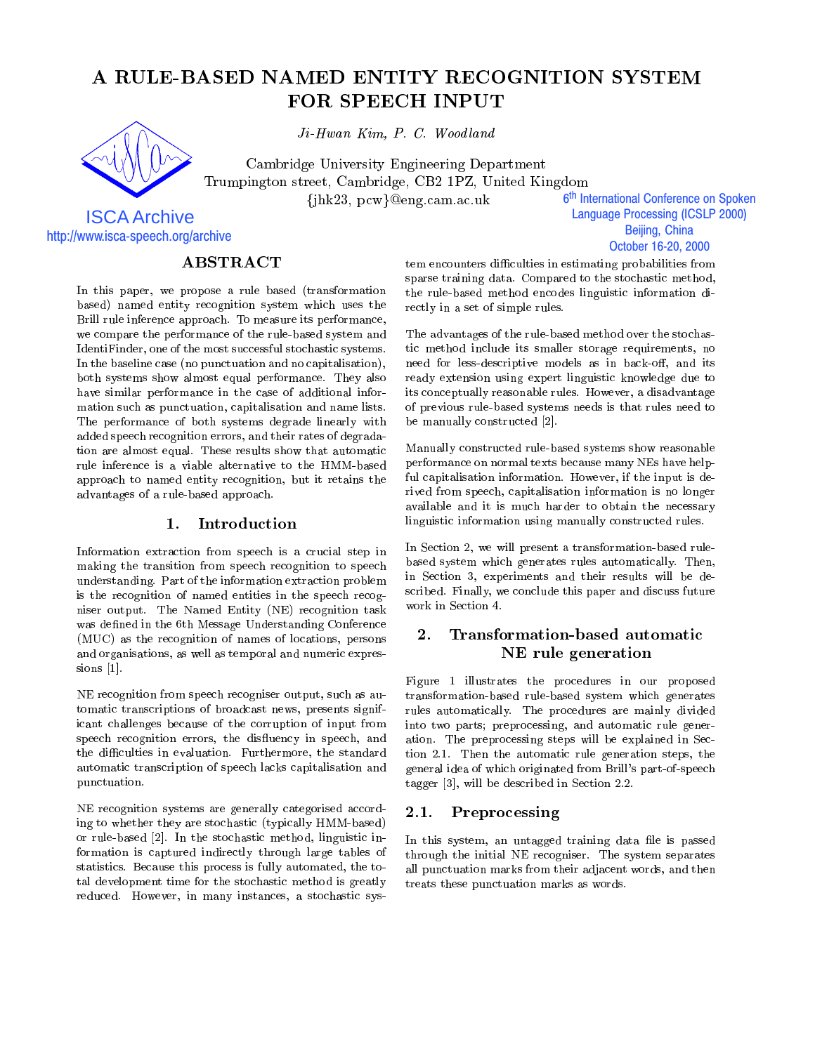# A RULE-BASED NAMED ENTITY RECOGNITION SYSTEM **FOR SPEECH INPUT**



Ji-Hwan Kim, P. C. Woodland

Cambridge University Engineering DepartmentTrumpington street, Cambridge, CB2 1PZ, United Kingdom  $\{ihk23, \text{pcw}\$ @eng.cam.ac.uk

ISCA Archive http://www.isca-speech.org/archive 6<sup>th</sup> International Conference on Spoken i **Language Processing (ICSLP 2000)** Beijing, China October 16-20, 2000

## **ABSTRACT**

In this paper, we propose a rule based (transformation based) named entity recognition system which uses the Brill rule inference approach. To measure its performance, we compare the performance of the rule-based system and IdentiFinder, one of the most successful stochastic systems. In the baseline case (no punctuation and no capitalisation), both systems show almost equal performance. They also have similar performance in the case of additional information such as punctuation, capitalisation and name lists. The performance of both systems degrade linearly with added speech recognition errors, and their rates of degradation are almost equal. These results show that automatic rule inference is a viable alternative to the HMM-based approach to named entity recognition, but it retains the advantages of a rule-based approach.

#### Introduction  $\mathbf 1$ .

Information extraction from speech is a crucial step in making the transition from speech recognition to speech understanding. Part of the information extraction problem is the recognition of named entities in the speech recogniser output. The Named Entity (NE) recognition task was defined in the 6th Message Understanding Conference<br>(MHC) as the recognition of names of locations persons  $\overline{2}$ . (MUC) as the recognition of names of locations, persons and organisations, as well as temporal and numeric expressions [1].

NE recognition from speech recogniser output, such as automatic transcriptions of broadcast news, presents significant challenges because of the corruption of input from speech recognition errors, the disfluency in speech, and the difficulties in evaluation. Furthermore, the standard automatic transcription of speech lacks capitalisation and punctuation.

NE recognition systems are generally categorised according to whether they are stochastic (typically HMM-based) or rule-based [2]. In the stochastic method, linguistic information is captured indirectly through large tables of statistics. Because this process is fully automated, the total development time for the stochastic method is greatly reduced. However, in many instances, a stochastic sys-

tem encounters difficulties in estimating probabilities from sparse training data. Compared to the stochastic method, the rule-based method encodes linguistic information directly in a set of simple rules.

The advantages of the rule-based method over the stochastic method include its smaller storage requirements, no need for less-descriptive models as in back-off, and its ready extension using expert linguistic knowledge due to its conceptually reasonable rules. However, a disadvantage of previous rule-based systems needs is that rules need to be manually constructed [2].

Manually constructed rule-based systems show reasonable performance on normal texts because many NEs have helpful capitalisation information. However, if the input is derived from speech, capitalisation information is no longer available and it is much harder to obtain the necessary linguistic information using manually constructed rules.

In Section 2, we will present a transformation-based rulebased system which generates rules automatically. Then, in Section 3, experiments and their results will be described. Finally, we conclude this paper and discuss future work in Section 4.

### 2. Transformation-based automatic NE rule generation

Figure 1 illustrates the procedures in our proposed transformation-based rule-based system which generates rules automatically. The procedures are mainly divided into two parts; preprocessing, and automatic rule generation. The preprocessing steps will be explained in Section 2.1. Then the automatic rule generation steps, the general idea of which originated from Brill's part-of-speech tagger [3], will be described in Section 2.2.

### 2.1. Preprocessing

In this system, an untagged training data file is passed through the initial NE recogniser. The system separates all punctuation marks from their adjacent words, and then treats these punctuation marks as words.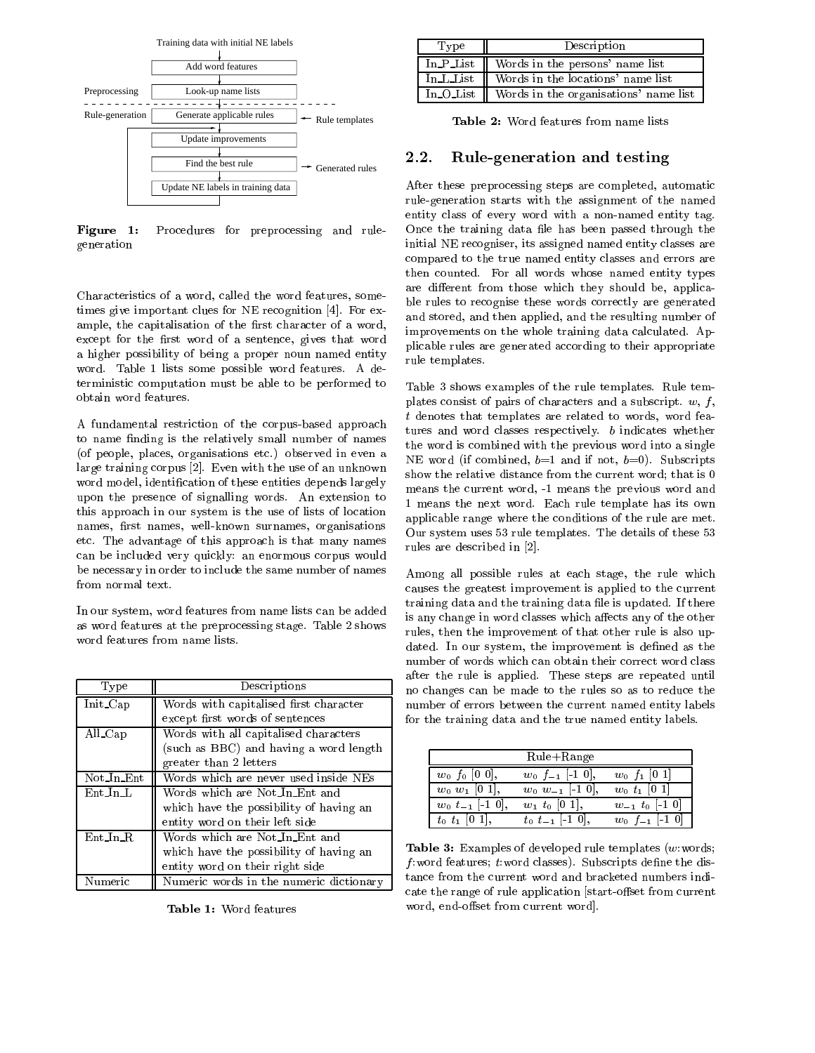

Figure 1: Procedures for preprocessing and rulegeneration

Characteristics of a word, called the word features, sometimes give important clues for NE recognition [4]. For ex ample, the capitalisation of the first character of a word, except for the first word of a sentence, gives that word a higher possibility of being a proper noun named entity word. Table 1 lists some possible word features. A deterministic computation must be able to be performed to obtain word features.

A fundamental restriction of the corpus-based approach to name finding is the relatively small number of names (of people, places, organisations etc.) observed in even a large training corpus [2]. Even with the use of an unknown word model, identification of these entities depends largely upon the presence of signalling words. An extension to this approach in our system is the use of lists of location names, first names, well-known surnames, organisations etc. The advantage of this approach is that many names can be included very quickly: an enormous corpus would be necessary in order to include the same number of names from normal text.

In our system, word features from name lists can be added as word features at the preprocessing stage. Table 2 shows word features from name lists.

| Type         | Descriptions                            |
|--------------|-----------------------------------------|
| Init_Cap     | Words with capitalised first character  |
|              | except first words of sentences         |
| All Cap      | Words with all capitalised characters   |
|              | (such as BBC) and having a word length  |
|              | greater than 2 letters                  |
| Not_In_Ent   | Words which are never used inside NEs   |
| $Ent\_In\_L$ | Words which are Not_In_Ent and          |
|              | which have the possibility of having an |
|              | entity word on their left side          |
| $Ent\_In\_R$ | Words which are Not_In_Ent and          |
|              | which have the possibility of having an |
|              | entity word on their right side         |
| Numeric      | Numeric words in the numeric dictionary |

Table 1: Word features

| Type | Description                                       |
|------|---------------------------------------------------|
|      | In P List   Words in the persons' name list       |
|      | In L List   Words in the locations' name list     |
|      | In O List   Words in the organisations' name list |

Table 2: Word features from name lists

#### $2.2.$ Rule-generation and testing

After these preprocessing steps are completed, automatic rule-generation starts with the assignment of the named entity class of every word with a non-named entity tag. Once the training data file has been passed through the initial NE recogniser, its assigned named entity classes are compared to the true named entity classes and errors are then counted. For all words whose named entity types are different from those which they should be, applicable rules to recognise these words correctly are generated and stored, and then applied, and the resulting number of improvements on the whole training data calculated. Applicable rules are generated according to their appropriate rule templates.

Table 3 shows examples of the rule templates. Rule templates consist of pairs of characters and a subscript.  $w, f$ , <sup>t</sup> denotes that templates are related to words, word features and word classes respectively. <sup>b</sup> indicates whether the word is combined with the previous word into a single NE word (if combined,  $b=1$  and if not,  $b=0$ ). Subscripts show the relative distance from the current word; that is 0 means the current word, -1 means the previous word and 1 means the next word. Each rule template has its own applicable range where the conditions of the rule are met. Our system uses 53 rule templates. The details of these 53 rules are described in [2].

Among all possible rules at each stage, the rule which causes the greatest improvement is applied to the current training data and the training data file is updated. If there is any change in word classes which affects any of the other rules, then the improvement of that other rule is also updated. In our system, the improvement is defined as the number of words which can obtain their correct word class after the rule is applied. These steps are repeated until no changes can be made to the rules so as to reduce the number of errors between the current named entity labels for the training data and the true named entity labels.

|                                                    | Rule+Range                     |                         |
|----------------------------------------------------|--------------------------------|-------------------------|
| $w_0$ f <sub>0</sub>   0   0   $,$                 | $w_0$ $f_{-1}$ [-1 0],         | $w_0$ $f_1$             |
| $w_0$ $w_1$   0                                    | $[-1 \ 0]$ .<br>$w_0$ $w_{-1}$ | $w_0$ $t_1$             |
| $w_0$ $t_{-1}$<br>$\left\vert -1\right\rangle$ 01. | $w_1$ $t_0$ [0 1].             | $w_{-1}$ t <sub>0</sub> |
|                                                    | $[-1\;0]$<br>$t_0$ $t_{-1}$    | $w_0$                   |

**Table 3:** Examples of developed rule templates (w:words; f word features; t:word classes). Subscripts define the distance from the current word and bracketed numbers indicate the range of rule application [start-offset from current word, end-offset from current word].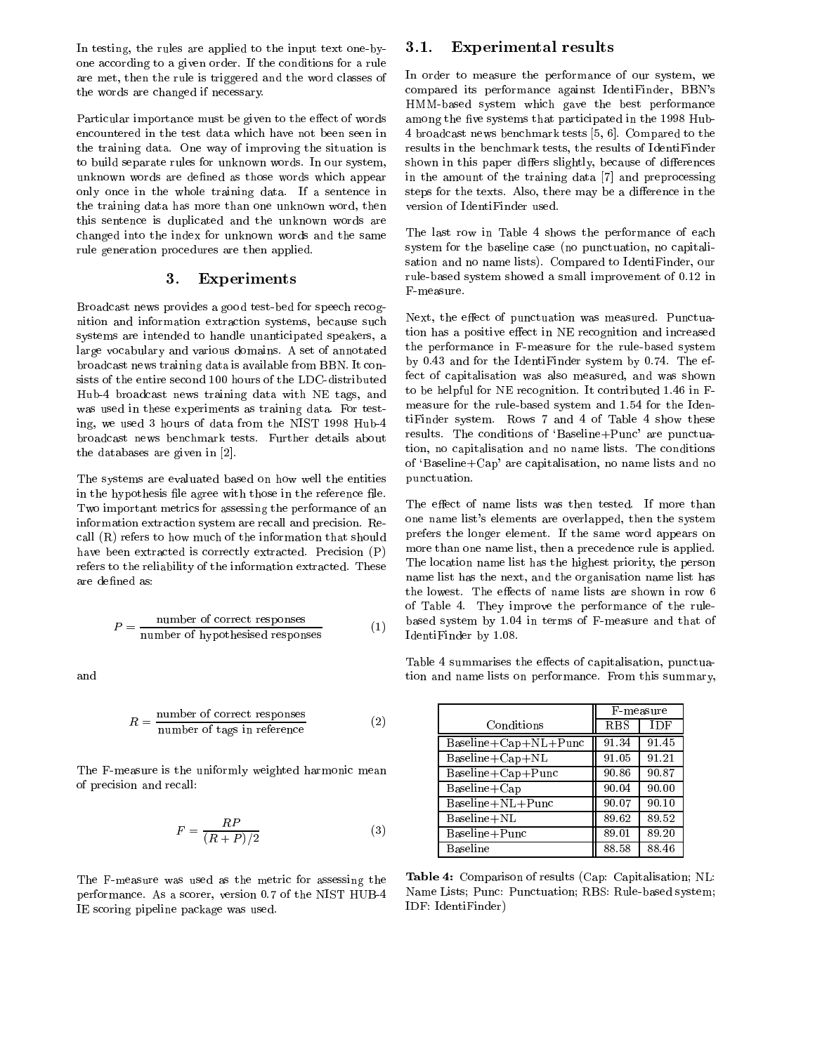In testing, the rules are applied to the input text one-byone according to a given order. If the conditions for a rule are met, then the rule is triggered and the word classes of the words are changed if necessary.

Particular importance must be given to the effect of words encountered in the test data which have not been seen in the training data. One way of improving the situation is to build separate rules for unknown words. In our system, unknown words are defined as those words which appear only once in the whole training data. If a sentence in the training data has more than one unknown word, then this sentence is duplicated and the unknown words are changed into the index for unknown words and the same rule generation procedures are then applied.

#### 3. Experiments

Broadcast news provides a good test-bed for speech recognition and information extraction systems, because such systems are intended to handle unanticipated speakers, a large vocabulary and various domains. A set of annotated broadcast news training data is available from BBN. It consists of the entire second 100 hours of the LDC-distributed Hub-4 broadcast news training data with NE tags, and was used in these experiments as training data. For testing, we used 3 hours of data from the NIST 1998 Hub-4 broadcast news benchmark tests. Further details about the databases are given in [2].

The systems are evaluated based on how well the entities in the hypothesis file agree with those in the reference file. Two important metrics for assessing the performance of an information extraction system are recall and precision. Recall (R) refers to how much of the information that should have been extracted is correctly extracted. Precision (P) refers to the reliability of the information extracted. These are defined as:

$$
P = \frac{\text{number of correct responses}}{\text{number of hypothesized responses}} \qquad (1) \qquad \text{base}
$$

and

$$
R = \frac{\text{number of correct responses}}{\text{number of tags in reference}} \tag{2}
$$

The F-measure is the uniformly weighted harmonic mean of precision and recall:

$$
F = \frac{RP}{(R+P)/2} \tag{3}
$$

The F-measure was used as the metric for assessing the performance. As a scorer, version 0.7 of the NIST HUB-4 IE scoring pipeline package was used.

#### 3.1. Experimental results

In order to measure the performance of our system, we compared its performance against IdentiFinder, BBN's HMM-based system which gave the best performance among the five systems that participated in the 1998 Hub-4 broadcast news benchmark tests [5, 6]. Compared to the results in the benchmark tests, the results of IdentiFinder shown in this paper differs slightly, because of differences in the amount of the training data [7] and preprocessing steps for the texts. Also, there may be a difference in the version of IdentiFinder used.

The last row in Table 4 shows the performance of each system for the baseline case (no punctuation, no capitalisation and no name lists). Compared to IdentiFinder, our rule-based system showed a small improvement of 0.12 in F-measure.

Next, the effect of punctuation was measured. Punctuation has a positive effect in NE recognition and increased the performance in F-measure for the rule-based system by 0.43 and for the IdentiFinder system by 0.74. The effect of capitalisation was also measured, and was shown to be helpful for NE recognition. It contributed 1.46 in Fmeasure for the rule-based system and 1.54 for the IdentiFinder system. Rows 7 and 4 of Table 4 show these results. The conditions of `Baseline+Punc' are punctuation, no capitalisation and no name lists. The conditions of `Baseline+Cap' are capitalisation, no name lists and no punctuation.

The effect of name lists was then tested. If more than one name list's elements are overlapped, then the system prefers the longer element. If the same word appears on more than one name list, then a precedence rule is applied. The location name list has the highest priority, the person name list has the next, and the organisation name list has the lowest. The effects of name lists are shown in row 6 of Table 4. They improve the performance of the rulebased system by 1.04 in terms of F-measure and that of IdentiFinder by 1.08.

Table 4 summarises the effects of capitalisation, punctuation and name lists on performance. From this summary,

|                        | F-measure  |       |
|------------------------|------------|-------|
| Conditions             | <b>RBS</b> | IDF   |
| $Baseline+Cap+NL+Punc$ | 91.34      | 91.45 |
| Baseline+Cap+NL        | 91.05      | 91.21 |
| $Baseline+Cap+Punc$    | 90.86      | 90.87 |
| $Baseline+Cap$         | 90.04      | 90.00 |
| Baseline+NL+Punc       | 90.07      | 90.10 |
| Baseline+NL            | 89.62      | 89.52 |
| Baseline+Punc          | 89.01      | 89.20 |
| <b>Baseline</b>        | 88.58      | 88.46 |

Table 4: Comparison of results (Cap: Capitalisation; NL: Name Lists; Punc: Punctuation; RBS: Rule-based system; IDF: IdentiFinder)